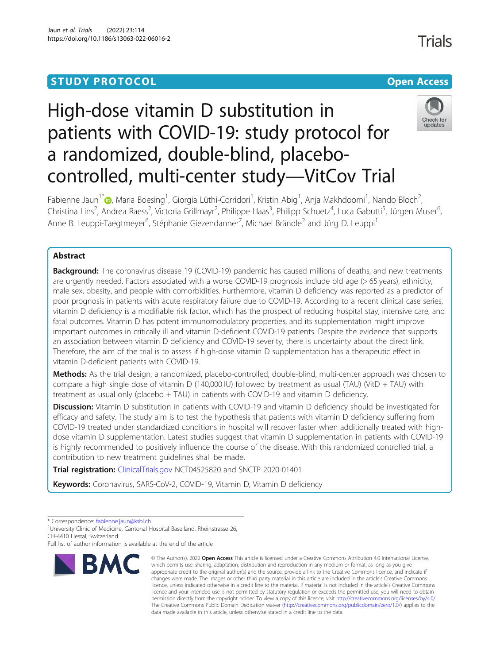# **STUDY PROTOCOL CONSUMING THE CONSUMING OPEN ACCESS**

# High-dose vitamin D substitution in patients with COVID-19: study protocol for a randomized, double-blind, placebocontrolled, multi-center study—VitCov Trial



**Trials** 

Fabienne Jaun<sup>1[\\*](http://orcid.org/0000-0002-1229-2181)</sup>®, Maria Boesing<sup>1</sup>, Giorgia Lüthi-Corridori<sup>1</sup>, Kristin Abig<sup>1</sup>, Anja Makhdoomi<sup>1</sup>, Nando Bloch<sup>2</sup> , Christina Lins<sup>2</sup>, Andrea Raess<sup>2</sup>, Victoria Grillmayr<sup>2</sup>, Philippe Haas<sup>3</sup>, Philipp Schuetz<sup>4</sup>, Luca Gabutti<sup>5</sup>, Jürgen Muser<sup>6</sup> , Anne B. Leuppi-Taegtmeyer<sup>6</sup>, Stéphanie Giezendanner<sup>7</sup>, Michael Brändle<sup>2</sup> and Jörg D. Leuppi<sup>1</sup>

## Abstract

**Background:** The coronavirus disease 19 (COVID-19) pandemic has caused millions of deaths, and new treatments are urgently needed. Factors associated with a worse COVID-19 prognosis include old age (> 65 years), ethnicity, male sex, obesity, and people with comorbidities. Furthermore, vitamin D deficiency was reported as a predictor of poor prognosis in patients with acute respiratory failure due to COVID-19. According to a recent clinical case series, vitamin D deficiency is a modifiable risk factor, which has the prospect of reducing hospital stay, intensive care, and fatal outcomes. Vitamin D has potent immunomodulatory properties, and its supplementation might improve important outcomes in critically ill and vitamin D-deficient COVID-19 patients. Despite the evidence that supports an association between vitamin D deficiency and COVID-19 severity, there is uncertainty about the direct link. Therefore, the aim of the trial is to assess if high-dose vitamin D supplementation has a therapeutic effect in vitamin D-deficient patients with COVID-19.

Methods: As the trial design, a randomized, placebo-controlled, double-blind, multi-center approach was chosen to compare a high single dose of vitamin D (140,000 IU) followed by treatment as usual (TAU) (VitD + TAU) with treatment as usual only (placebo + TAU) in patients with COVID-19 and vitamin D deficiency.

**Discussion:** Vitamin D substitution in patients with COVID-19 and vitamin D deficiency should be investigated for efficacy and safety. The study aim is to test the hypothesis that patients with vitamin D deficiency suffering from COVID-19 treated under standardized conditions in hospital will recover faster when additionally treated with highdose vitamin D supplementation. Latest studies suggest that vitamin D supplementation in patients with COVID-19 is highly recommended to positively influence the course of the disease. With this randomized controlled trial, a contribution to new treatment guidelines shall be made.

Trial registration: [ClinicalTrials.gov](https://clinicaltrials.gov/ct2/show/NCT04525820) NCT04525820 and SNCTP 2020-01401

Keywords: Coronavirus, SARS-CoV-2, COVID-19, Vitamin D, Vitamin D deficiency

<sup>1</sup>University Clinic of Medicine, Cantonal Hospital Baselland, Rheinstrasse 26, CH-4410 Liestal, Switzerland

Full list of author information is available at the end of the article



<sup>©</sup> The Author(s), 2022 **Open Access** This article is licensed under a Creative Commons Attribution 4.0 International License, which permits use, sharing, adaptation, distribution and reproduction in any medium or format, as long as you give appropriate credit to the original author(s) and the source, provide a link to the Creative Commons licence, and indicate if changes were made. The images or other third party material in this article are included in the article's Creative Commons licence, unless indicated otherwise in a credit line to the material. If material is not included in the article's Creative Commons licence and your intended use is not permitted by statutory regulation or exceeds the permitted use, you will need to obtain permission directly from the copyright holder. To view a copy of this licence, visit [http://creativecommons.org/licenses/by/4.0/.](http://creativecommons.org/licenses/by/4.0/) The Creative Commons Public Domain Dedication waiver [\(http://creativecommons.org/publicdomain/zero/1.0/](http://creativecommons.org/publicdomain/zero/1.0/)) applies to the data made available in this article, unless otherwise stated in a credit line to the data.

<sup>\*</sup> Correspondence: [fabienne.jaun@ksbl.ch](mailto:fabienne.jaun@ksbl.ch) <sup>1</sup>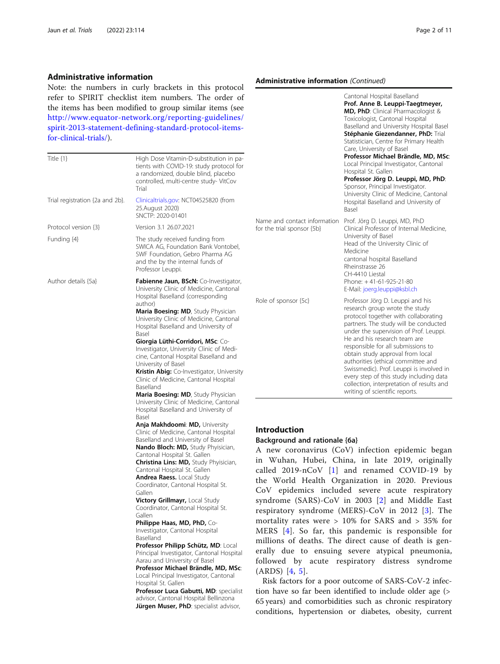## Administrative information

Note: the numbers in curly brackets in this protocol refer to SPIRIT checklist item numbers. The order of the items has been modified to group similar items (see [http://www.equator-network.org/reporting-guidelines/](http://www.equator-network.org/reporting-guidelines/spirit-2013-statement-defining-standard-protocol-items-for-clinical-trials/) [spirit-2013-statement-defining-standard-protocol-items](http://www.equator-network.org/reporting-guidelines/spirit-2013-statement-defining-standard-protocol-items-for-clinical-trials/)[for-clinical-trials/](http://www.equator-network.org/reporting-guidelines/spirit-2013-statement-defining-standard-protocol-items-for-clinical-trials/)).

| High Dose Vitamin-D-substitution in pa-<br>tients with COVID-19: study protocol for<br>a randomized, double blind, placebo<br>controlled, multi-centre study-VitCov<br>Trial                                                                                                                                                                                                                                                                                                                                                                                                                                                                                                                                                                                                                                                                                                                                                                                                                                                                                                                                                                                                                                                                                                                                                                                                                                                                                                                                                                                                                   |                                                                                                                                 |
|------------------------------------------------------------------------------------------------------------------------------------------------------------------------------------------------------------------------------------------------------------------------------------------------------------------------------------------------------------------------------------------------------------------------------------------------------------------------------------------------------------------------------------------------------------------------------------------------------------------------------------------------------------------------------------------------------------------------------------------------------------------------------------------------------------------------------------------------------------------------------------------------------------------------------------------------------------------------------------------------------------------------------------------------------------------------------------------------------------------------------------------------------------------------------------------------------------------------------------------------------------------------------------------------------------------------------------------------------------------------------------------------------------------------------------------------------------------------------------------------------------------------------------------------------------------------------------------------|---------------------------------------------------------------------------------------------------------------------------------|
| Clinicaltrials.gov: NCT04525820 (from<br>25. August 2020)<br>SNCTP: 2020-01401                                                                                                                                                                                                                                                                                                                                                                                                                                                                                                                                                                                                                                                                                                                                                                                                                                                                                                                                                                                                                                                                                                                                                                                                                                                                                                                                                                                                                                                                                                                 |                                                                                                                                 |
| Version 3.1 26.07.2021                                                                                                                                                                                                                                                                                                                                                                                                                                                                                                                                                                                                                                                                                                                                                                                                                                                                                                                                                                                                                                                                                                                                                                                                                                                                                                                                                                                                                                                                                                                                                                         | Na<br>for                                                                                                                       |
| The study received funding from<br>SWICA AG, Foundation Bank Vontobel,<br>SWF Foundation, Gebro Pharma AG<br>and the by the internal funds of<br>Professor Leuppi.                                                                                                                                                                                                                                                                                                                                                                                                                                                                                                                                                                                                                                                                                                                                                                                                                                                                                                                                                                                                                                                                                                                                                                                                                                                                                                                                                                                                                             |                                                                                                                                 |
| <b>Fabienne Jaun, BScN:</b> Co-Investigator,<br>University Clinic of Medicine, Cantonal<br>Hospital Baselland (corresponding<br>author)<br><b>Maria Boesing: MD, Study Physician</b><br>University Clinic of Medicine, Cantonal<br>Hospital Baselland and University of<br>Basel<br>Giorgia Lüthi-Corridori, MSc: Co-<br>Investigator, University Clinic of Medi-<br>cine, Cantonal Hospital Baselland and<br>University of Basel<br>Kristin Abig: Co-Investigator, University<br>Clinic of Medicine, Cantonal Hospital<br>Baselland<br><b>Maria Boesing: MD, Study Physician</b><br>University Clinic of Medicine, Cantonal<br>Hospital Baselland and University of<br>Basel<br><b>Anja Makhdoomi: MD, University</b><br>Clinic of Medicine, Cantonal Hospital<br>Baselland and University of Basel<br><b>Nando Bloch: MD, Study Phyisician,</b><br>Cantonal Hospital St. Gallen<br><b>Christina Lins: MD, Study Phyisician,</b><br>Cantonal Hospital St. Gallen<br><b>Andrea Raess.</b> Local Study<br>Coordinator, Cantonal Hospital St.<br>Gallen<br><b>Victory Grillmayr, Local Study</b><br>Coordinator, Cantonal Hospital St.<br>Gallen<br><b>Philippe Haas, MD, PhD, Co-</b><br>Investigator, Cantonal Hospital<br>Baselland<br>Professor Philipp Schütz, MD: Local<br>Principal Investigator, Cantonal Hospital<br>Aarau and University of Basel<br>Professor Michael Brändle, MD, MSc:<br>Local Principal Investigator, Cantonal<br>Hospital St. Gallen<br>Professor Luca Gabutti, MD: specialist<br>advisor, Cantonal Hospital Bellinzona<br>Jürgen Muser, PhD: specialist advisor, | Ro<br>In<br>Ba<br>A<br>in<br>ca<br>th<br>$\mathsf{C}$<br>sy<br>re<br>m<br>M<br>m<br>er<br>fo<br>(A)<br>tio<br>65<br>$_{\rm cc}$ |
|                                                                                                                                                                                                                                                                                                                                                                                                                                                                                                                                                                                                                                                                                                                                                                                                                                                                                                                                                                                                                                                                                                                                                                                                                                                                                                                                                                                                                                                                                                                                                                                                |                                                                                                                                 |

# Administrative information (Continued)

|                                                            | Cantonal Hospital Baselland<br>Prof. Anne B. Leuppi-Taegtmeyer,<br>MD, PhD: Clinical Pharmacologist &<br>Toxicologist, Cantonal Hospital<br>Baselland and University Hospital Basel<br>Stéphanie Giezendanner, PhD: Trial<br>Statistician, Centre for Primary Health<br>Care, University of Basel<br>Professor Michael Brändle, MD, MSc:<br>Local Principal Investigator, Cantonal<br>Hospital St. Gallen<br>Professor Jörg D. Leuppi, MD, PhD:<br>Sponsor, Principal Investigator.<br>University Clinic of Medicine, Cantonal<br>Hospital Baselland and University of<br>Basel |
|------------------------------------------------------------|---------------------------------------------------------------------------------------------------------------------------------------------------------------------------------------------------------------------------------------------------------------------------------------------------------------------------------------------------------------------------------------------------------------------------------------------------------------------------------------------------------------------------------------------------------------------------------|
| Name and contact information<br>for the trial sponsor {5b} | Prof. Jörg D. Leuppi, MD, PhD<br>Clinical Professor of Internal Medicine,<br>University of Basel<br>Head of the University Clinic of<br>Medicine<br>cantonal hospital Baselland<br>Rheinstrasse 26<br>CH-4410 Liestal<br>Phone: +41-61-925-21-80<br>E-Mail: joerg.leuppi@ksbl.ch                                                                                                                                                                                                                                                                                                |
| Role of sponsor {5c}                                       | Professor Jörg D. Leuppi and his<br>research group wrote the study<br>protocol together with collaborating<br>partners. The study will be conducted<br>under the supervision of Prof. Leuppi.<br>He and his research team are<br>responsible for all submissions to<br>obtain study approval from local<br>authorities (ethical committee and<br>Swissmedic). Prof. Leuppi is involved in<br>every step of this study including data<br>collection, interpretation of results and<br>writing of scientific reports.                                                             |

## **I**roduction

#### ackground and rationale {6a}

new coronavirus (CoV) infection epidemic began Wuhan, Hubei, China, in late 2019, originally alled 2019-nCoV  $[1]$  $[1]$  and renamed COVID-19 by te World Health Organization in 2020. Previous oV epidemics included severe acute respiratory ndrome (SARS)-CoV in [2](#page-9-0)003 [2] and Middle East espiratory syndrome (MERS)- $CoV$  in 2012 [[3](#page-9-0)]. The nortality rates were  $> 10\%$  for SARS and  $> 35\%$  for IERS [[4](#page-9-0)]. So far, this pandemic is responsible for millions of deaths. The direct cause of death is genrally due to ensuing severe atypical pneumonia, followed by acute respiratory distress syndrome ARDS) [[4,](#page-9-0) [5](#page-9-0)].

Risk factors for a poor outcome of SARS-CoV-2 infecon have so far been identified to include older age (> 65 years) and comorbidities such as chronic respiratory onditions, hypertension or diabetes, obesity, current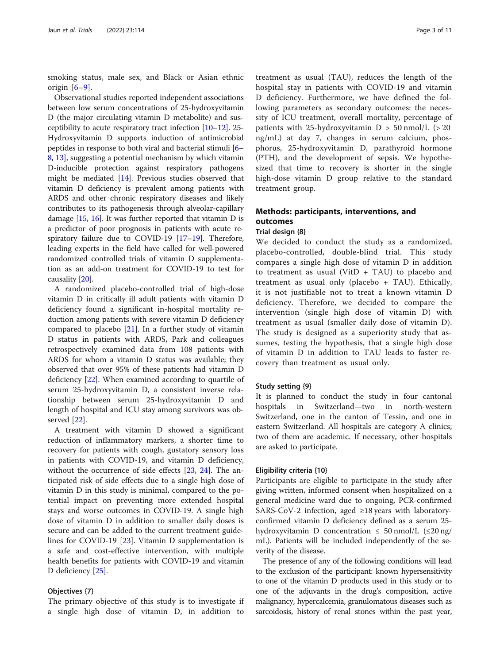smoking status, male sex, and Black or Asian ethnic origin  $[6-9]$  $[6-9]$  $[6-9]$  $[6-9]$ .

Observational studies reported independent associations between low serum concentrations of 25-hydroxyvitamin D (the major circulating vitamin D metabolite) and susceptibility to acute respiratory tract infection [[10](#page-9-0)–[12](#page-10-0)]. 25- Hydroxyvitamin D supports induction of antimicrobial peptides in response to both viral and bacterial stimuli [[6](#page-9-0)– [8,](#page-9-0) [13\]](#page-10-0), suggesting a potential mechanism by which vitamin D-inducible protection against respiratory pathogens might be mediated [[14](#page-10-0)]. Previous studies observed that vitamin D deficiency is prevalent among patients with ARDS and other chronic respiratory diseases and likely contributes to its pathogenesis through alveolar-capillary damage [[15](#page-10-0), [16](#page-10-0)]. It was further reported that vitamin D is a predictor of poor prognosis in patients with acute respiratory failure due to COVID-19 [\[17](#page-10-0)–[19](#page-10-0)]. Therefore, leading experts in the field have called for well-powered randomized controlled trials of vitamin D supplementation as an add-on treatment for COVID-19 to test for causality [[20](#page-10-0)].

A randomized placebo-controlled trial of high-dose vitamin D in critically ill adult patients with vitamin D deficiency found a significant in-hospital mortality reduction among patients with severe vitamin D deficiency compared to placebo [\[21\]](#page-10-0). In a further study of vitamin D status in patients with ARDS, Park and colleagues retrospectively examined data from 108 patients with ARDS for whom a vitamin D status was available; they observed that over 95% of these patients had vitamin D deficiency [[22\]](#page-10-0). When examined according to quartile of serum 25-hydroxyvitamin D, a consistent inverse relationship between serum 25-hydroxyvitamin D and length of hospital and ICU stay among survivors was observed [[22\]](#page-10-0).

A treatment with vitamin D showed a significant reduction of inflammatory markers, a shorter time to recovery for patients with cough, gustatory sensory loss in patients with COVID-19, and vitamin D deficiency, without the occurrence of side effects [\[23](#page-10-0), [24\]](#page-10-0). The anticipated risk of side effects due to a single high dose of vitamin D in this study is minimal, compared to the potential impact on preventing more extended hospital stays and worse outcomes in COVID-19. A single high dose of vitamin D in addition to smaller daily doses is secure and can be added to the current treatment guidelines for COVID-19 [\[23\]](#page-10-0). Vitamin D supplementation is a safe and cost-effective intervention, with multiple health benefits for patients with COVID-19 and vitamin D deficiency [\[25](#page-10-0)].

#### Objectives {7}

The primary objective of this study is to investigate if a single high dose of vitamin D, in addition to

treatment as usual (TAU), reduces the length of the hospital stay in patients with COVID-19 and vitamin D deficiency. Furthermore, we have defined the following parameters as secondary outcomes: the necessity of ICU treatment, overall mortality, percentage of patients with 25-hydroxyvitamin  $D > 50$  nmol/L ( $> 20$ ng/mL) at day 7, changes in serum calcium, phosphorus, 25-hydroxyvitamin D, parathyroid hormone (PTH), and the development of sepsis. We hypothesized that time to recovery is shorter in the single high-dose vitamin D group relative to the standard treatment group.

## Methods: participants, interventions, and outcomes

## Trial design {8}

We decided to conduct the study as a randomized, placebo-controlled, double-blind trial. This study compares a single high dose of vitamin D in addition to treatment as usual (VitD  $+$  TAU) to placebo and treatment as usual only (placebo + TAU). Ethically, it is not justifiable not to treat a known vitamin D deficiency. Therefore, we decided to compare the intervention (single high dose of vitamin D) with treatment as usual (smaller daily dose of vitamin D). The study is designed as a superiority study that assumes, testing the hypothesis, that a single high dose of vitamin D in addition to TAU leads to faster recovery than treatment as usual only.

#### Study setting {9}

It is planned to conduct the study in four cantonal hospitals in Switzerland—two in north-western Switzerland, one in the canton of Tessin, and one in eastern Switzerland. All hospitals are category A clinics; two of them are academic. If necessary, other hospitals are asked to participate.

#### Eligibility criteria {10}

Participants are eligible to participate in the study after giving written, informed consent when hospitalized on a general medicine ward due to ongoing, PCR-confirmed SARS-CoV-2 infection, aged  $\geq 18$  years with laboratoryconfirmed vitamin D deficiency defined as a serum 25 hydroxyvitamin D concentration  $\leq 50$  nmol/L ( $\leq 20$  ng/ mL). Patients will be included independently of the severity of the disease.

The presence of any of the following conditions will lead to the exclusion of the participant: known hypersensitivity to one of the vitamin D products used in this study or to one of the adjuvants in the drug's composition, active malignancy, hypercalcemia, granulomatous diseases such as sarcoidosis, history of renal stones within the past year,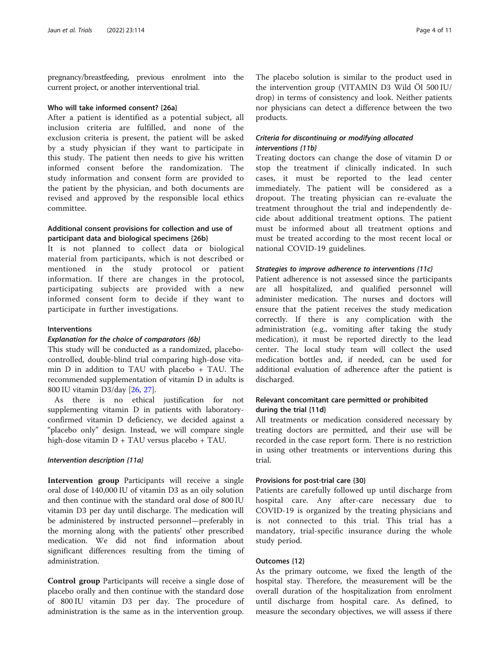pregnancy/breastfeeding, previous enrolment into the current project, or another interventional trial.

#### Who will take informed consent? {26a}

After a patient is identified as a potential subject, all inclusion criteria are fulfilled, and none of the exclusion criteria is present, the patient will be asked by a study physician if they want to participate in this study. The patient then needs to give his written informed consent before the randomization. The study information and consent form are provided to the patient by the physician, and both documents are revised and approved by the responsible local ethics committee.

## Additional consent provisions for collection and use of participant data and biological specimens {26b}

It is not planned to collect data or biological material from participants, which is not described or mentioned in the study protocol or patient information. If there are changes in the protocol, participating subjects are provided with a new informed consent form to decide if they want to participate in further investigations.

#### Interventions

## Explanation for the choice of comparators {6b}

This study will be conducted as a randomized, placebocontrolled, double-blind trial comparing high-dose vitamin D in addition to TAU with placebo + TAU. The recommended supplementation of vitamin D in adults is 800 IU vitamin D3/day [\[26](#page-10-0), [27\]](#page-10-0).

As there is no ethical justification for not supplementing vitamin D in patients with laboratoryconfirmed vitamin D deficiency, we decided against a "placebo only" design. Instead, we will compare single high-dose vitamin D + TAU versus placebo + TAU.

#### Intervention description {11a}

Intervention group Participants will receive a single oral dose of 140,000 IU of vitamin D3 as an oily solution and then continue with the standard oral dose of 800 IU vitamin D3 per day until discharge. The medication will be administered by instructed personnel—preferably in the morning along with the patients' other prescribed medication. We did not find information about significant differences resulting from the timing of administration.

Control group Participants will receive a single dose of placebo orally and then continue with the standard dose of 800 IU vitamin D3 per day. The procedure of administration is the same as in the intervention group.

The placebo solution is similar to the product used in the intervention group (VITAMIN D3 Wild Öl 500 IU/ drop) in terms of consistency and look. Neither patients nor physicians can detect a difference between the two products.

## Criteria for discontinuing or modifying allocated interventions {11b}

Treating doctors can change the dose of vitamin D or stop the treatment if clinically indicated. In such cases, it must be reported to the lead center immediately. The patient will be considered as a dropout. The treating physician can re-evaluate the treatment throughout the trial and independently decide about additional treatment options. The patient must be informed about all treatment options and must be treated according to the most recent local or national COVID-19 guidelines.

#### Strategies to improve adherence to interventions {11c}

Patient adherence is not assessed since the participants are all hospitalized, and qualified personnel will administer medication. The nurses and doctors will ensure that the patient receives the study medication correctly. If there is any complication with the administration (e.g., vomiting after taking the study medication), it must be reported directly to the lead center. The local study team will collect the used medication bottles and, if needed, can be used for additional evaluation of adherence after the patient is discharged.

## Relevant concomitant care permitted or prohibited during the trial {11d}

All treatments or medication considered necessary by treating doctors are permitted, and their use will be recorded in the case report form. There is no restriction in using other treatments or interventions during this trial.

## Provisions for post-trial care {30}

Patients are carefully followed up until discharge from hospital care. Any after-care necessary due to COVID-19 is organized by the treating physicians and is not connected to this trial. This trial has a mandatory, trial-specific insurance during the whole study period.

## Outcomes {12}

As the primary outcome, we fixed the length of the hospital stay. Therefore, the measurement will be the overall duration of the hospitalization from enrolment until discharge from hospital care. As defined, to measure the secondary objectives, we will assess if there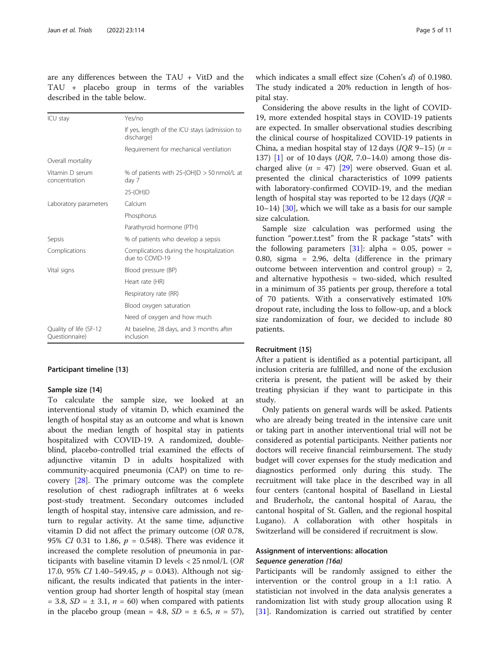are any differences between the TAU + VitD and the TAU + placebo group in terms of the variables described in the table below.

| Yes/no                                                      |
|-------------------------------------------------------------|
| If yes, length of the ICU stays (admission to<br>discharge) |
| Requirement for mechanical ventilation                      |
|                                                             |
| % of patients with 25-(OH)D $>$ 50 nmol/L at<br>day 7       |
| 25-(OH)D                                                    |
| Calcium                                                     |
| Phosphorus                                                  |
| Parathyroid hormone (PTH)                                   |
| % of patients who develop a sepsis                          |
| Complications during the hospitalization<br>due to COVID-19 |
| Blood pressure (BP)                                         |
| Heart rate (HR)                                             |
| Respiratory rate (RR)                                       |
| Blood oxygen saturation                                     |
| Need of oxygen and how much                                 |
| At baseline, 28 days, and 3 months after<br>inclusion       |
|                                                             |

#### Participant timeline {13}

#### Sample size {14}

To calculate the sample size, we looked at an interventional study of vitamin D, which examined the length of hospital stay as an outcome and what is known about the median length of hospital stay in patients hospitalized with COVID-19. A randomized, doubleblind, placebo-controlled trial examined the effects of adjunctive vitamin D in adults hospitalized with community-acquired pneumonia (CAP) on time to recovery [[28\]](#page-10-0). The primary outcome was the complete resolution of chest radiograph infiltrates at 6 weeks post-study treatment. Secondary outcomes included length of hospital stay, intensive care admission, and return to regular activity. At the same time, adjunctive vitamin D did not affect the primary outcome (OR 0.78, 95% CI 0.31 to 1.86,  $p = 0.548$ ). There was evidence it increased the complete resolution of pneumonia in participants with baseline vitamin D levels < 25 nmol/L (OR 17.0, 95% CI 1.40-549.45,  $p = 0.043$ ). Although not significant, the results indicated that patients in the intervention group had shorter length of hospital stay (mean  $= 3.8, SD = \pm 3.1, n = 60$  when compared with patients in the placebo group (mean = 4.8,  $SD = \pm 6.5$ ,  $n = 57$ ),

which indicates a small effect size (Cohen's d) of 0.1980. The study indicated a 20% reduction in length of hospital stay.

Considering the above results in the light of COVID-19, more extended hospital stays in COVID-19 patients are expected. In smaller observational studies describing the clinical course of hospitalized COVID-19 patients in China, a median hospital stay of 12 days (IOR 9–15) ( $n =$ [1](#page-9-0)37) [1] or of 10 days (*IQR*, 7.0–14.0) among those discharged alive  $(n = 47)$  [\[29](#page-10-0)] were observed. Guan et al. presented the clinical characteristics of 1099 patients with laboratory-confirmed COVID-19, and the median length of hospital stay was reported to be 12 days  $(IQR =$ 10–14) [[30](#page-10-0)], which we will take as a basis for our sample size calculation.

Sample size calculation was performed using the function "power.t.test" from the R package "stats" with the following parameters  $[31]$  $[31]$  $[31]$ : alpha = 0.05, power = 0.80, sigma = 2.96, delta (difference in the primary outcome between intervention and control group) = 2, and alternative hypothesis = two-sided, which resulted in a minimum of 35 patients per group, therefore a total of 70 patients. With a conservatively estimated 10% dropout rate, including the loss to follow-up, and a block size randomization of four, we decided to include 80 patients.

#### Recruitment {15}

After a patient is identified as a potential participant, all inclusion criteria are fulfilled, and none of the exclusion criteria is present, the patient will be asked by their treating physician if they want to participate in this study.

Only patients on general wards will be asked. Patients who are already being treated in the intensive care unit or taking part in another interventional trial will not be considered as potential participants. Neither patients nor doctors will receive financial reimbursement. The study budget will cover expenses for the study medication and diagnostics performed only during this study. The recruitment will take place in the described way in all four centers (cantonal hospital of Baselland in Liestal and Bruderholz, the cantonal hospital of Aarau, the cantonal hospital of St. Gallen, and the regional hospital Lugano). A collaboration with other hospitals in Switzerland will be considered if recruitment is slow.

## Assignment of interventions: allocation

## Sequence generation {16a}

Participants will be randomly assigned to either the intervention or the control group in a 1:1 ratio. A statistician not involved in the data analysis generates a randomization list with study group allocation using R [[31\]](#page-10-0). Randomization is carried out stratified by center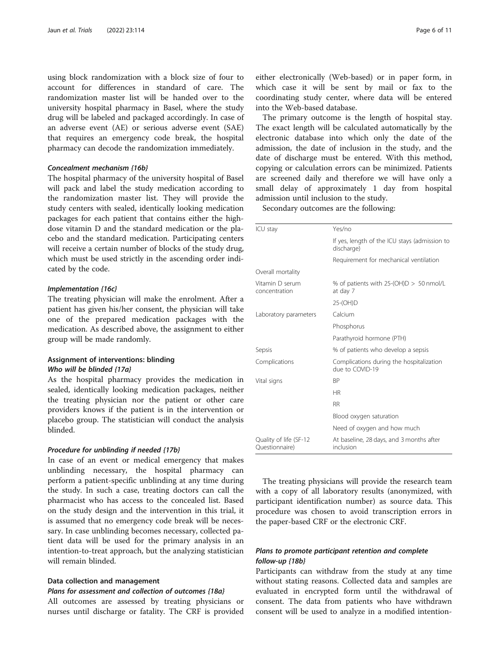using block randomization with a block size of four to account for differences in standard of care. The randomization master list will be handed over to the university hospital pharmacy in Basel, where the study drug will be labeled and packaged accordingly. In case of an adverse event (AE) or serious adverse event (SAE) that requires an emergency code break, the hospital pharmacy can decode the randomization immediately.

## Concealment mechanism {16b}

The hospital pharmacy of the university hospital of Basel will pack and label the study medication according to the randomization master list. They will provide the study centers with sealed, identically looking medication packages for each patient that contains either the highdose vitamin D and the standard medication or the placebo and the standard medication. Participating centers will receive a certain number of blocks of the study drug, which must be used strictly in the ascending order indicated by the code.

#### Implementation {16c}

The treating physician will make the enrolment. After a patient has given his/her consent, the physician will take one of the prepared medication packages with the medication. As described above, the assignment to either group will be made randomly.

## Assignment of interventions: blinding Who will be blinded {17a}

As the hospital pharmacy provides the medication in sealed, identically looking medication packages, neither the treating physician nor the patient or other care providers knows if the patient is in the intervention or placebo group. The statistician will conduct the analysis blinded.

#### Procedure for unblinding if needed {17b}

In case of an event or medical emergency that makes unblinding necessary, the hospital pharmacy can perform a patient-specific unblinding at any time during the study. In such a case, treating doctors can call the pharmacist who has access to the concealed list. Based on the study design and the intervention in this trial, it is assumed that no emergency code break will be necessary. In case unblinding becomes necessary, collected patient data will be used for the primary analysis in an intention-to-treat approach, but the analyzing statistician will remain blinded.

## Data collection and management

## Plans for assessment and collection of outcomes {18a}

All outcomes are assessed by treating physicians or nurses until discharge or fatality. The CRF is provided

either electronically (Web-based) or in paper form, in which case it will be sent by mail or fax to the coordinating study center, where data will be entered into the Web-based database.

The primary outcome is the length of hospital stay. The exact length will be calculated automatically by the electronic database into which only the date of the admission, the date of inclusion in the study, and the date of discharge must be entered. With this method, copying or calculation errors can be minimized. Patients are screened daily and therefore we will have only a small delay of approximately 1 day from hospital admission until inclusion to the study.

Secondary outcomes are the following:

| ICU stay                                 | Yes/no                                                      |
|------------------------------------------|-------------------------------------------------------------|
|                                          | If yes, length of the ICU stays (admission to<br>discharge) |
|                                          | Requirement for mechanical ventilation                      |
| Overall mortality                        |                                                             |
| Vitamin D serum<br>concentration         | % of patients with $25-(OH)D > 50$ nmol/L<br>at day 7       |
|                                          | 25-(OH)D                                                    |
| Laboratory parameters                    | Calcium                                                     |
|                                          | Phosphorus                                                  |
|                                          | Parathyroid hormone (PTH)                                   |
| Sepsis                                   | % of patients who develop a sepsis                          |
| Complications                            | Complications during the hospitalization<br>due to COVID-19 |
| Vital signs                              | <b>BP</b>                                                   |
|                                          | HR                                                          |
|                                          | <b>RR</b>                                                   |
|                                          | Blood oxygen saturation                                     |
|                                          | Need of oxygen and how much                                 |
| Quality of life (SF-12<br>Questionnaire) | At baseline, 28 days, and 3 months after<br>inclusion       |

The treating physicians will provide the research team with a copy of all laboratory results (anonymized, with participant identification number) as source data. This procedure was chosen to avoid transcription errors in the paper-based CRF or the electronic CRF.

## Plans to promote participant retention and complete follow-up {18b}

Participants can withdraw from the study at any time without stating reasons. Collected data and samples are evaluated in encrypted form until the withdrawal of consent. The data from patients who have withdrawn consent will be used to analyze in a modified intention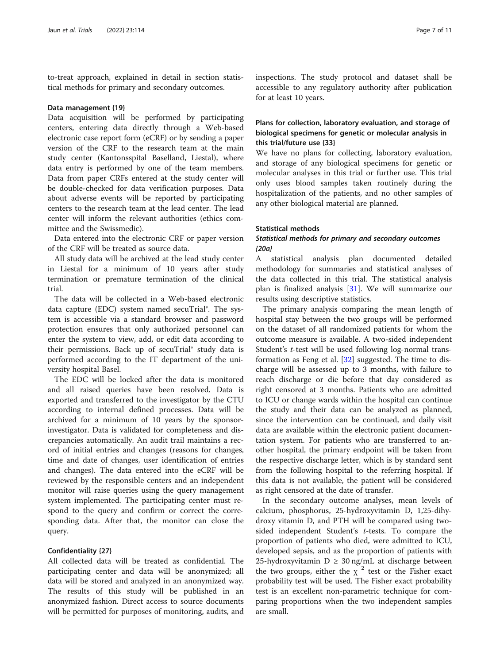to-treat approach, explained in detail in section statistical methods for primary and secondary outcomes.

#### Data management {19}

Data acquisition will be performed by participating centers, entering data directly through a Web-based electronic case report form (eCRF) or by sending a paper version of the CRF to the research team at the main study center (Kantonsspital Baselland, Liestal), where data entry is performed by one of the team members. Data from paper CRFs entered at the study center will be double-checked for data verification purposes. Data about adverse events will be reported by participating centers to the research team at the lead center. The lead center will inform the relevant authorities (ethics committee and the Swissmedic).

Data entered into the electronic CRF or paper version of the CRF will be treated as source data.

All study data will be archived at the lead study center in Liestal for a minimum of 10 years after study termination or premature termination of the clinical trial.

The data will be collected in a Web-based electronic data capture (EDC) system named secuTrial®. The system is accessible via a standard browser and password protection ensures that only authorized personnel can enter the system to view, add, or edit data according to their permissions. Back up of secuTrial® study data is performed according to the IT department of the university hospital Basel.

The EDC will be locked after the data is monitored and all raised queries have been resolved. Data is exported and transferred to the investigator by the CTU according to internal defined processes. Data will be archived for a minimum of 10 years by the sponsorinvestigator. Data is validated for completeness and discrepancies automatically. An audit trail maintains a record of initial entries and changes (reasons for changes, time and date of changes, user identification of entries and changes). The data entered into the eCRF will be reviewed by the responsible centers and an independent monitor will raise queries using the query management system implemented. The participating center must respond to the query and confirm or correct the corresponding data. After that, the monitor can close the query.

## Confidentiality {27}

All collected data will be treated as confidential. The participating center and data will be anonymized; all data will be stored and analyzed in an anonymized way. The results of this study will be published in an anonymized fashion. Direct access to source documents will be permitted for purposes of monitoring, audits, and inspections. The study protocol and dataset shall be accessible to any regulatory authority after publication for at least 10 years.

## Plans for collection, laboratory evaluation, and storage of biological specimens for genetic or molecular analysis in this trial/future use {33}

We have no plans for collecting, laboratory evaluation, and storage of any biological specimens for genetic or molecular analyses in this trial or further use. This trial only uses blood samples taken routinely during the hospitalization of the patients, and no other samples of any other biological material are planned.

## Statistical methods

## Statistical methods for primary and secondary outcomes {20a}

A statistical analysis plan documented detailed methodology for summaries and statistical analyses of the data collected in this trial. The statistical analysis plan is finalized analysis [[31](#page-10-0)]. We will summarize our results using descriptive statistics.

The primary analysis comparing the mean length of hospital stay between the two groups will be performed on the dataset of all randomized patients for whom the outcome measure is available. A two-sided independent Student's *t*-test will be used following log-normal transformation as Feng et al. [\[32](#page-10-0)] suggested. The time to discharge will be assessed up to 3 months, with failure to reach discharge or die before that day considered as right censored at 3 months. Patients who are admitted to ICU or change wards within the hospital can continue the study and their data can be analyzed as planned, since the intervention can be continued, and daily visit data are available within the electronic patient documentation system. For patients who are transferred to another hospital, the primary endpoint will be taken from the respective discharge letter, which is by standard sent from the following hospital to the referring hospital. If this data is not available, the patient will be considered as right censored at the date of transfer.

In the secondary outcome analyses, mean levels of calcium, phosphorus, 25-hydroxyvitamin D, 1,25-dihydroxy vitamin D, and PTH will be compared using twosided independent Student's t-tests. To compare the proportion of patients who died, were admitted to ICU, developed sepsis, and as the proportion of patients with 25-hydroxyvitamin  $D \geq 30$  ng/mL at discharge between the two groups, either the  $\chi^2$  test or the Fisher exact probability test will be used. The Fisher exact probability test is an excellent non-parametric technique for comparing proportions when the two independent samples are small.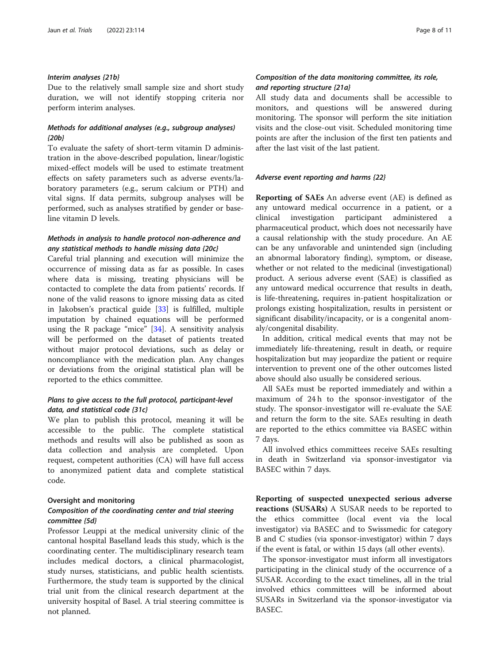#### Interim analyses {21b}

Due to the relatively small sample size and short study duration, we will not identify stopping criteria nor perform interim analyses.

## Methods for additional analyses (e.g., subgroup analyses) {20b}

To evaluate the safety of short-term vitamin D administration in the above-described population, linear/logistic mixed-effect models will be used to estimate treatment effects on safety parameters such as adverse events/laboratory parameters (e.g., serum calcium or PTH) and vital signs. If data permits, subgroup analyses will be performed, such as analyses stratified by gender or baseline vitamin D levels.

## Methods in analysis to handle protocol non-adherence and any statistical methods to handle missing data {20c}

Careful trial planning and execution will minimize the occurrence of missing data as far as possible. In cases where data is missing, treating physicians will be contacted to complete the data from patients' records. If none of the valid reasons to ignore missing data as cited in Jakobsen's practical guide [\[33\]](#page-10-0) is fulfilled, multiple imputation by chained equations will be performed using the R package "mice"  $[34]$  $[34]$ . A sensitivity analysis will be performed on the dataset of patients treated without major protocol deviations, such as delay or noncompliance with the medication plan. Any changes or deviations from the original statistical plan will be reported to the ethics committee.

## Plans to give access to the full protocol, participant-level data, and statistical code {31c}

We plan to publish this protocol, meaning it will be accessible to the public. The complete statistical methods and results will also be published as soon as data collection and analysis are completed. Upon request, competent authorities (CA) will have full access to anonymized patient data and complete statistical code.

#### Oversight and monitoring

## Composition of the coordinating center and trial steering committee {5d}

Professor Leuppi at the medical university clinic of the cantonal hospital Baselland leads this study, which is the coordinating center. The multidisciplinary research team includes medical doctors, a clinical pharmacologist, study nurses, statisticians, and public health scientists. Furthermore, the study team is supported by the clinical trial unit from the clinical research department at the university hospital of Basel. A trial steering committee is not planned.

## Composition of the data monitoring committee, its role, and reporting structure {21a}

All study data and documents shall be accessible to monitors, and questions will be answered during monitoring. The sponsor will perform the site initiation visits and the close-out visit. Scheduled monitoring time points are after the inclusion of the first ten patients and after the last visit of the last patient.

## Adverse event reporting and harms {22}

Reporting of SAEs An adverse event (AE) is defined as any untoward medical occurrence in a patient, or a clinical investigation participant administered a pharmaceutical product, which does not necessarily have a causal relationship with the study procedure. An AE can be any unfavorable and unintended sign (including an abnormal laboratory finding), symptom, or disease, whether or not related to the medicinal (investigational) product. A serious adverse event (SAE) is classified as any untoward medical occurrence that results in death, is life-threatening, requires in-patient hospitalization or prolongs existing hospitalization, results in persistent or significant disability/incapacity, or is a congenital anomaly/congenital disability.

In addition, critical medical events that may not be immediately life-threatening, result in death, or require hospitalization but may jeopardize the patient or require intervention to prevent one of the other outcomes listed above should also usually be considered serious.

All SAEs must be reported immediately and within a maximum of 24 h to the sponsor-investigator of the study. The sponsor-investigator will re-evaluate the SAE and return the form to the site. SAEs resulting in death are reported to the ethics committee via BASEC within 7 days.

All involved ethics committees receive SAEs resulting in death in Switzerland via sponsor-investigator via BASEC within 7 days.

Reporting of suspected unexpected serious adverse reactions (SUSARs) A SUSAR needs to be reported to the ethics committee (local event via the local investigator) via BASEC and to Swissmedic for category B and C studies (via sponsor-investigator) within 7 days if the event is fatal, or within 15 days (all other events).

The sponsor-investigator must inform all investigators participating in the clinical study of the occurrence of a SUSAR. According to the exact timelines, all in the trial involved ethics committees will be informed about SUSARs in Switzerland via the sponsor-investigator via BASEC.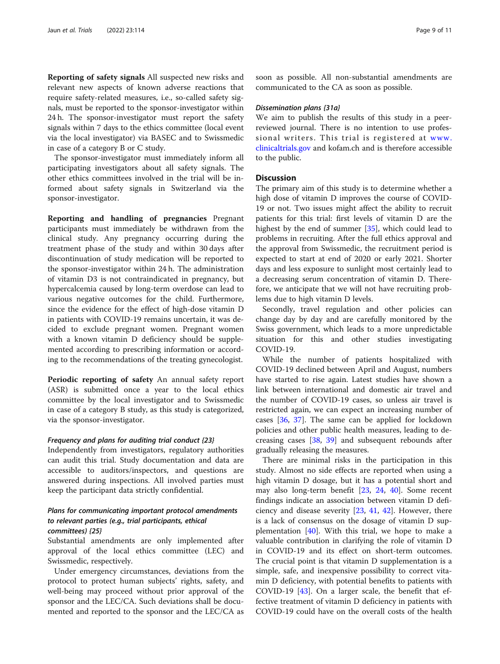Reporting of safety signals All suspected new risks and relevant new aspects of known adverse reactions that require safety-related measures, i.e., so-called safety signals, must be reported to the sponsor-investigator within 24 h. The sponsor-investigator must report the safety signals within 7 days to the ethics committee (local event via the local investigator) via BASEC and to Swissmedic in case of a category B or C study.

The sponsor-investigator must immediately inform all participating investigators about all safety signals. The other ethics committees involved in the trial will be informed about safety signals in Switzerland via the sponsor-investigator.

Reporting and handling of pregnancies Pregnant participants must immediately be withdrawn from the clinical study. Any pregnancy occurring during the treatment phase of the study and within 30 days after discontinuation of study medication will be reported to the sponsor-investigator within 24 h. The administration of vitamin D3 is not contraindicated in pregnancy, but hypercalcemia caused by long-term overdose can lead to various negative outcomes for the child. Furthermore, since the evidence for the effect of high-dose vitamin D in patients with COVID-19 remains uncertain, it was decided to exclude pregnant women. Pregnant women with a known vitamin D deficiency should be supplemented according to prescribing information or according to the recommendations of the treating gynecologist.

Periodic reporting of safety An annual safety report (ASR) is submitted once a year to the local ethics committee by the local investigator and to Swissmedic in case of a category B study, as this study is categorized, via the sponsor-investigator.

#### Frequency and plans for auditing trial conduct {23}

Independently from investigators, regulatory authorities can audit this trial. Study documentation and data are accessible to auditors/inspectors, and questions are answered during inspections. All involved parties must keep the participant data strictly confidential.

## Plans for communicating important protocol amendments to relevant parties (e.g., trial participants, ethical committees) {25}

Substantial amendments are only implemented after approval of the local ethics committee (LEC) and Swissmedic, respectively.

Under emergency circumstances, deviations from the protocol to protect human subjects' rights, safety, and well-being may proceed without prior approval of the sponsor and the LEC/CA. Such deviations shall be documented and reported to the sponsor and the LEC/CA as soon as possible. All non-substantial amendments are communicated to the CA as soon as possible.

#### Dissemination plans {31a}

We aim to publish the results of this study in a peerreviewed journal. There is no intention to use professional writers. This trial is registered at [www.](http://www.clinicaltrials.gov) [clinicaltrials.gov](http://www.clinicaltrials.gov) and kofam.ch and is therefore accessible to the public.

#### **Discussion**

The primary aim of this study is to determine whether a high dose of vitamin D improves the course of COVID-19 or not. Two issues might affect the ability to recruit patients for this trial: first levels of vitamin D are the highest by the end of summer [\[35](#page-10-0)], which could lead to problems in recruiting. After the full ethics approval and the approval from Swissmedic, the recruitment period is expected to start at end of 2020 or early 2021. Shorter days and less exposure to sunlight most certainly lead to a decreasing serum concentration of vitamin D. Therefore, we anticipate that we will not have recruiting problems due to high vitamin D levels.

Secondly, travel regulation and other policies can change day by day and are carefully monitored by the Swiss government, which leads to a more unpredictable situation for this and other studies investigating COVID-19.

While the number of patients hospitalized with COVID-19 declined between April and August, numbers have started to rise again. Latest studies have shown a link between international and domestic air travel and the number of COVID-19 cases, so unless air travel is restricted again, we can expect an increasing number of cases [\[36](#page-10-0), [37\]](#page-10-0). The same can be applied for lockdown policies and other public health measures, leading to decreasing cases [[38,](#page-10-0) [39](#page-10-0)] and subsequent rebounds after gradually releasing the measures.

There are minimal risks in the participation in this study. Almost no side effects are reported when using a high vitamin D dosage, but it has a potential short and may also long-term benefit [\[23](#page-10-0), [24](#page-10-0), [40\]](#page-10-0). Some recent findings indicate an association between vitamin D deficiency and disease severity [[23,](#page-10-0) [41,](#page-10-0) [42\]](#page-10-0). However, there is a lack of consensus on the dosage of vitamin D supplementation  $[40]$  $[40]$ . With this trial, we hope to make a valuable contribution in clarifying the role of vitamin D in COVID-19 and its effect on short-term outcomes. The crucial point is that vitamin D supplementation is a simple, safe, and inexpensive possibility to correct vitamin D deficiency, with potential benefits to patients with COVID-19  $[43]$  $[43]$ . On a larger scale, the benefit that effective treatment of vitamin D deficiency in patients with COVID-19 could have on the overall costs of the health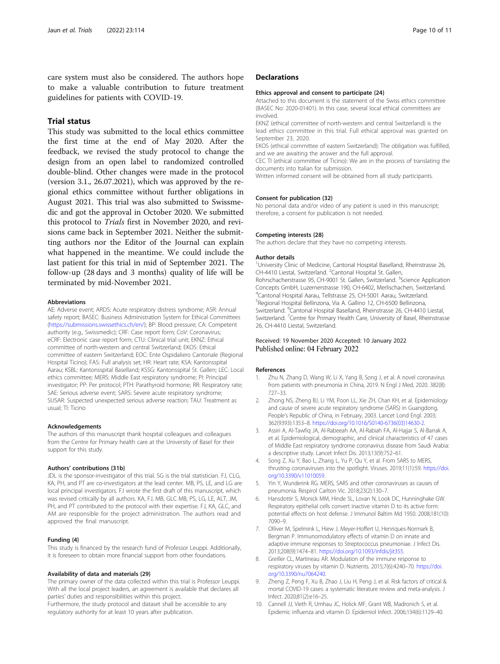<span id="page-9-0"></span>care system must also be considered. The authors hope to make a valuable contribution to future treatment guidelines for patients with COVID-19.

## Trial status

This study was submitted to the local ethics committee the first time at the end of May 2020. After the feedback, we revised the study protocol to change the design from an open label to randomized controlled double-blind. Other changes were made in the protocol (version 3.1., 26.07.2021), which was approved by the regional ethics committee without further obligations in August 2021. This trial was also submitted to Swissmedic and got the approval in October 2020. We submitted this protocol to Trials first in November 2020, and revisions came back in September 2021. Neither the submitting authors nor the Editor of the Journal can explain what happened in the meantime. We could include the last patient for this trial in mid of September 2021. The follow-up (28 days and 3 months) quality of life will be terminated by mid-November 2021.

#### Abbreviations

AE: Adverse event; ARDS: Acute respiratory distress syndrome; ASR: Annual safety report; BASEC: Business Administration System for Ethical Committees ([https://submissions.swissethics.ch/en/\)](https://submissions.swissethics.ch/en/); BP: Blood pressure; CA: Competent authority (e.g., Swissmedic); CRF: Case report form; CoV: Coronavirus; eCRF: Electronic case report form; CTU: Clinical trial unit; EKNZ: Ethical committee of north-western and central Switzerland; EKOS: Ethical committee of eastern Switzerland; EOC: Ente Ospidaliero Cantonale (Regional Hospital Ticino); FAS: Full analysis set; HR: Heart rate; KSA: Kantonsspital Aarau; KSBL: Kantonsspital Baselland; KSSG: Kantonsspital St. Gallen; LEC: Local ethics committee; MERS: Middle East respiratory syndrome; PI: Principal investigator; PP: Per protocol; PTH: Parathyroid hormone; RR: Respiratory rate; SAE: Serious adverse event; SARS: Severe acute respiratory syndrome; SUSAR: Suspected unexpected serious adverse reaction; TAU: Treatment as usual; TI: Ticino

#### Acknowledgements

The authors of this manuscript thank hospital colleagues and colleagues from the Centre for Primary health care at the University of Basel for their support for this study.

#### Authors' contributions {31b}

JDL is the sponsor-investigator of this trial. SG is the trial statistician. FJ, CLG, KA, PH, and PT are co-investigators at the lead center. MB, PS, LE, and LG are local principal investigators. FJ wrote the first draft of this manuscript, which was revised critically by all authors. KA, FJ, MB, GLC MB, PS, LG, LE, ALT, JM, PH, and PT contributed to the protocol with their expertise. FJ, KA, GLC, and AM are responsible for the project administration. The authors read and approved the final manuscript.

#### Funding {4}

This study is financed by the research fund of Professor Leuppi. Additionally, it is foreseen to obtain more financial support from other foundations.

#### Availability of data and materials {29}

The primary owner of the data collected within this trial is Professor Leuppi. With all the local project leaders, an agreement is available that declares all parties' duties and responsibilities within this project.

Furthermore, the study protocol and dataset shall be accessible to any regulatory authority for at least 10 years after publication.

#### **Declarations**

#### Ethics approval and consent to participate {24}

Attached to this document is the statement of the Swiss ethics committee (BASEC No: 2020-01401). In this case, several local ethical committees are involved.

EKNZ (ethical committee of north-western and central Switzerland) is the lead ethics committee in this trial. Full ethical approval was granted on September 23, 2020.

EKOS (ethical committee of eastern Switzerland): The obligation was fulfilled, and we are awaiting the answer and the full approval.

CEC TI (ethical committee of Ticino): We are in the process of translating the documents into Italian for submission.

Written informed consent will be obtained from all study participants.

#### Consent for publication {32}

No personal data and/or video of any patient is used in this manuscript; therefore, a consent for publication is not needed.

#### Competing interests {28}

The authors declare that they have no competing interests.

#### Author details

<sup>1</sup>University Clinic of Medicine, Cantonal Hospital Baselland, Rheinstrasse 26 CH-4410 Liestal, Switzerland. <sup>2</sup> Cantonal Hospital St. Gallen, Rohrschacherstrasse 95, CH-9001 St. Gallen, Switzerland. <sup>3</sup>Science Application Concepts GmbH, Luzernerstrasse 190, CH-6402, Merlischachen, Switzerland. 4 Cantonal Hospital Aarau, Tellstrasse 25, CH-5001 Aarau, Switzerland. 5 Regional Hospital Bellinzona, Via A. Gallino 12, CH-6500 Bellinzona, Switzerland. <sup>6</sup>Cantonal Hospital Baselland, Rheinstrasse 26, CH-4410 Liestal Switzerland. <sup>7</sup> Centre for Primary Health Care, University of Basel, Rheinstrasse 26, CH-4410 Liestal, Switzerland.

#### Received: 19 November 2020 Accepted: 10 January 2022 Published online: 04 February 2022

#### References

- 1. Zhu N, Zhang D, Wang W, Li X, Yang B, Song J, et al. A novel coronavirus from patients with pneumonia in China, 2019. N Engl J Med, 2020. 382(8): 727–33.
- 2. Zhong NS, Zheng BJ, Li YM, Poon LL, Xie ZH, Chan KH, et al. Epidemiology and cause of severe acute respiratory syndrome (SARS) in Guangdong, People's Republic of China, in February, 2003. Lancet Lond Engl. 2003; 362(9393):1353–8. [https://doi.org/10.1016/S0140-6736\(03\)14630-2](https://doi.org/10.1016/S0140-6736(03)14630-2).
- 3. Assiri A, Al-Tawfiq JA, Al-Rabeeah AA, Al-Rabiah FA, Al-Hajjar S, Al-Barrak A, et al. Epidemiological, demographic, and clinical characteristics of 47 cases of Middle East respiratory syndrome coronavirus disease from Saudi Arabia: a descriptive study. Lancet Infect Dis. 2013;13(9):752–61.
- 4. Song Z, Xu Y, Bao L, Zhang L, Yu P, Qu Y, et al. From SARS to MERS, thrusting coronaviruses into the spotlight. Viruses. 2019;11(1):59. [https://doi.](https://doi.org/10.3390/v11010059) [org/10.3390/v11010059](https://doi.org/10.3390/v11010059).
- 5. Yin Y, Wunderink RG. MERS, SARS and other coronaviruses as causes of pneumonia. Respirol Carlton Vic. 2018;23(2):130–7.
- Hansdottir S, Monick MM, Hinde SL, Lovan N, Look DC, Hunninghake GW. Respiratory epithelial cells convert inactive vitamin D to its active form: potential effects on host defense. J Immunol Baltim Md 1950. 2008;181(10): 7090–9.
- 7. Olliver M, Spelmink L, Hiew J, Meyer-Hoffert U, Henriques-Normark B, Bergman P. Immunomodulatory effects of vitamin D on innate and adaptive immune responses to Streptococcus pneumoniae. J Infect Dis. 2013;208(9):1474–81. [https://doi.org/10.1093/infdis/jit355.](https://doi.org/10.1093/infdis/jit355)
- 8. Greiller CL, Martineau AR. Modulation of the immune response to respiratory viruses by vitamin D. Nutrients. 2015;7(6):4240–70. [https://doi.](https://doi.org/10.3390/nu7064240) [org/10.3390/nu7064240](https://doi.org/10.3390/nu7064240).
- Zheng Z, Peng F, Xu B, Zhao J, Liu H, Peng J, et al. Risk factors of critical & mortal COVID-19 cases: a systematic literature review and meta-analysis. J Infect. 2020;81(2):e16–25.
- 10. Cannell JJ, Vieth R, Umhau JC, Holick MF, Grant WB, Madronich S, et al. Epidemic influenza and vitamin D. Epidemiol Infect. 2006;134(6):1129–40.